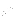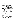## บรรณานุกรม

| กรมสามัญสึกษา. (2540). <del>ก</del> ารศึกษาแนวทางในการพัฒนาคุณภาพการศึกษาของ                         |
|------------------------------------------------------------------------------------------------------|
| โรงเรียนมัธยมศึกษา. กรุงเทพฯ : คุรุสภา เอกสารอัดสำเนา.                                               |
| ี เกศนี - ดีมั่น, และคณะ. (2543), "ความรู้ความเข้าใจและความคิดเห็นเกี่ยวกับพระราชบัญญัติ             |
| การศึกษาแห่งชาติพุทธศักราช 2542 ของครู  อาจารย์ ในจังหวัดพิษณุโลก"                                   |
| การศึกษาค้นคว้าตัวยดนเอง มหาวิทยาลัยนเรศวร.                                                          |
| สำนักงานคณะกรรมการการศึกษาแห่งชาติ. (2526) <mark>การศึกษาเอกชนในประเทศไทย</mark> .                   |
| กรุงเทพฯ : พัฒนาศึกษา.                                                                               |
| (2543). ปฏิรูปการศึกษาไทย : สู่พรุ่งนี้อย่างมีหวัง. กรุงเทพฯ : ตำนักงิจุนคณะ                         |
| กรรมการการประถมศึกษาแห่งชาติ.                                                                        |
| (2545). พระราชบัญญัติการศึกษาแห่งชาติ พ.ศ. 2542 และพี่แก้ไขเพิ่มเติม                                 |
| (ฉบับที่ 2) พ.ศ. 2545. กรุงเทพฯ : บริษัท พริกหวานกลังฟพิค ซิวกัด.                                    |
| สำนักงานคณะกรรมการการศึกษาเอกชน. (2531 ก.). การย์รู้ที่ว่างินทารเรียนการสอน.                         |
| กรุงเทพฯ : โรงพิมพ์การศาสนา.                                                                         |
| (2531 ข). คู่มือผู้บริหารโรงเรือนเอกชน การ์จัดทำแผนการบริหารโรงเรียง                                 |
| เอกชน. กรุงเทพฯ : โรงพิมพ์การคิวสนา.                                                                 |
| (2531 ค). รวยงานการศึกษาเรื่องผลกระทบของนโยบายภารอุดหนุน                                             |
| โรงเรียนเออชุ่นเป็นเงินรายหัว, กรุงเทพฯ : โรงพิมพ์ศาสศาสนา.                                          |
| (2844). พระราชบัญญัติกฎหมาย ระเบียป ซิลินังคับและแน <b>วปฏิบัติ</b> . กรุงเทพฯ                       |
| สำนักงานคณะกรรมกรรการศึกษาเอกซูนุ่                                                                   |
| ซีน์โนรส์\ วิทยากาญจน์และคณะ. (2542). \สร้างพินัละปัญหากา <b>รดำเนินงานของสถาน</b>                   |
| ้ศึกษาเอกชน สังกัดสำนักงานคุณะกรรมการก <b>ารศึกษาเอกชน จังหวัดกำแพงเพชร</b> "                        |
| การคึกษาดันดุวัวดังยัตนิเฮ็ง มหาวิทยาลัยนเรศวร.                                                      |
| $\sum_{i=1}^{n}$<br>ธงชัย สันติวงศ์. (2538) อังศัการและกา <b>รบริหาร. พิมพ์ครั้งที่ 6 กรุงเทพฯ</b> : |
| ไทยวัฒนาพิวันที่                                                                                     |
| ้(2510, 19 กรกฎาคม.).  "ครูเป็นหัวใจในการพัฒนาอาชีวศึกษา."<br><b>LERAJATED</b>                       |
| อาชีวศึกษา, หน้า 9.                                                                                  |
| บุณยโสภณ. (2528, กุมภาพันธ์). "อิทธิพลของสิ่งแวดล้อมต่าง ๆ ที่มีผลต่อการจัดหลักสูตร<br>ธีชาติ        |
| อาชีวสึกษา" <b>อาชีวสึกษา. หน้า 44-48</b> .                                                          |
| ์ธีรวุฒิ  ประทุมนพรัตน์. (2526). การบริหารกิจการนักเรียน. กรุงเทพฯ : โอ.เอส.พริ้นติ้ง เฮ้า,          |
| . (2529). การบริหารการศึกษา. สงขลา : มหาวิทยาลัยศรีนครินทร์วิโรฒ , อัดสำเนา.                         |

นพพงษ์ บุญจิดราดุลย์. (2527). ก้า<mark>วเข้าสู่ผู้บริ</mark>ทาร. กรุงเทพฯ : อนงค์ศิลป์การพิมพ์.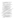- นิพนธ์ กินาวงศ์. (2526). หลักเบื้องต้นเกี่ยวกับการบริหารโรงเรียนและการนิเทศการ ์ศึกษา. พิมพ์ครั้งที่ 3 กรุงเทพฯ : พิฆเณศ.
- บรรจง ชูสกุลชาติ. (2529, 16 มกราคม). "อาชีวศึกษาครบวงจร" อาชีวศึกษา. หน้า 14 - 18
- ปรีดา เชื้อตระกูล. (2518). "งานบริหารการศึกษาของโรงเรียนประถมศึกษา สังกัด เทศบาลภายในภาคกลาง" วิทยานิพนธ์ปริญญามหาบัณฑิต จุฬาลงกรณ์มหาวิทยาลัย อัตสำเนา

พนัส หันนาคินทร์. (2513). หลักการบริหารโรงเรียน. กรุงเทพฯ : วัฒนาพานิช.

- ———— . (2524). หลักการบริหารโรงเรียน. กรุงเทพฯ : วัฒนาพานิช.
- 
- 

ภิญโญ สาธร. (2514). หลักการบริหารการศึกษา. กรุงเทพฯ : วัฒนาสูตินิช.

<u>\_\_\_\_\_\_\_\_</u> . (2526). หลักการบริหารการศึกษา. กรุงเทพฯ : ฮาการครูหิภา.

- \_\_\_\_\_\_\_\_\_\_\_. (2529). หลักการบริหารการศึกษา, กรุงเทพ์ยา ไหยวัฒนาพานิช. เมธี ปิลันธนานนท์. (2525). การบริหารการศึกษา กิจแทพฯ : พิทักษ์อักษร.
- วิทยา บุญสม. (2521). "การบริหารงานโรงเรียนราษฎรัสอนศาสนาอิสลามในจังหวัดชุลย์แด็น ภาคใต้" วิทยานิพนธ์ปริญญ์จัดพิภัยันทิด จุฬาลงกรณ์มหาวิทยาลัย "ยัดสำเนา.
- ศิริวัฒน์ พหลทัพ. (2539) เป็นจุบีที่ต่อผลกระทบต่อการบริหารโรงเรียนเอิกชนระดับ ประถัมศึกฐาไนจังหวัดเพชรบูรณ์" วิทยานิพนธ์ปริญญามิพงษัณฑิต มหาวิทยาลัย เกษตร์ศาสตร์ อัดสำเนา.

.<br>สมาน สุทธิ์เลิศอาณ. (2529). การบริหารการศึกษา กิจุฬิทพฯ : อักษรบัณฑิตการพิมพ์. สมบูงณ์ ธรรมลังกา. (2542). "การบริหารงานบุคคลีโรงเรียนเอกชนในจังหวัดเชียงราย"

วิทยานิพนธ์ปริญญามหาชัญที่ดู มหาวิทยาลัยเชียงใหม่ อัดสำเนา.

สมบูรณ์ พรรณาภพ. (2521) ที่สุดเนื้องต้นของการบริหารโรงเรียน กรุงเทพฯ : บรรณกิจ. สมศักดิ์ ศรีภูสิตโด และคุณะ: (2541). "สาเหตุการส่งเด็กเข้าเรียนระดับประถมศึกษาของ

ผู้ปกตุรุงงินที่เรียนโรงเรียนเอกชน จังหวัดกำแพงเพชร" การศึกษาค้าคว้าด้วยตนเอง มหาวิทยาลัยนเรศวร.

สินย์ดู นิววิการ. (2525). ภารบริหาร. กรุงเทพฯ : สมหมายการพิมพ์.

สวาท แสงมณี. (2532), "การศึกษาปัญหาการบริหารบุคลากรของผู้บริหารโรงเรียน ประถมศึกษาสังกัดสำนักงานการประถมศึกษาจังหวัดปัตตานี" วิทยานิพนธ์ปริญญา มหาบัณฑิต มหาวิทยาลัยศรีนครินทรวิโรฒ สงขลา อัดสำเนา.

ี่สุภรณ์ ประดับแก้ว. (2513). ภาระหน้าที่ของครูใหญ่ คู่มือประถมศึกษา. กรุงเทพฯ : ประจักษ์วิทยา..